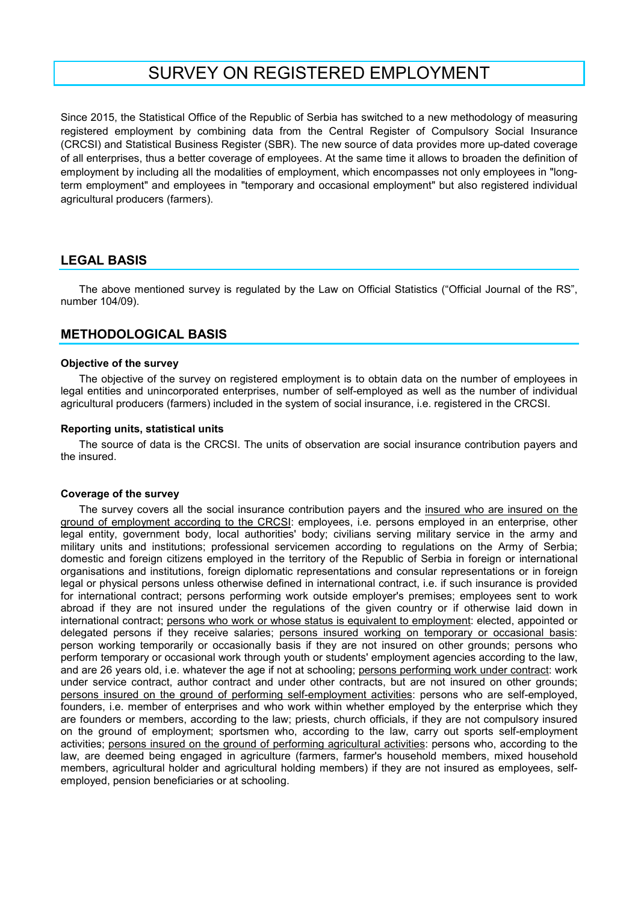# SURVEY ON REGISTERED EMPLOYMENT

Since 2015, the Statistical Office of the Republic of Serbia has switched to a new methodology of measuring registered employment by combining data from the Central Register of Compulsory Social Insurance (CRCSI) and Statistical Business Register (SBR). The new source of data provides more up-dated coverage of all enterprises, thus a better coverage of employees. At the same time it allows to broaden the definition of employment by including all the modalities of employment, which encompasses not only employees in "longterm employment" and employees in "temporary and occasional employment" but also registered individual agricultural producers (farmers).

# LEGAL BASIS

The above mentioned survey is regulated by the Law on Official Statistics ("Official Journal of the RS", number 104/09).

# METHODOLOGICAL BASIS

#### Objective of the survey

The objective of the survey on registered employment is to obtain data on the number of employees in legal entities and unincorporated enterprises, number of self-employed as well as the number of individual agricultural producers (farmers) included in the system of social insurance, i.e. registered in the CRCSI.

#### Reporting units, statistical units

The source of data is the CRCSI. The units of observation are social insurance contribution payers and the insured.

#### Coverage of the survey

The survey covers all the social insurance contribution payers and the insured who are insured on the ground of employment according to the CRCSI: employees, i.e. persons employed in an enterprise, other legal entity, government body, local authorities' body; civilians serving military service in the army and military units and institutions; professional servicemen according to regulations on the Army of Serbia; domestic and foreign citizens employed in the territory of the Republic of Serbia in foreign or international organisations and institutions, foreign diplomatic representations and consular representations or in foreign legal or physical persons unless otherwise defined in international contract, i.e. if such insurance is provided for international contract; persons performing work outside employer's premises; employees sent to work abroad if they are not insured under the regulations of the given country or if otherwise laid down in international contract; persons who work or whose status is equivalent to employment: elected, appointed or delegated persons if they receive salaries; persons insured working on temporary or occasional basis: person working temporarily or occasionally basis if they are not insured on other grounds; persons who perform temporary or occasional work through youth or students' employment agencies according to the law, and are 26 years old, i.e. whatever the age if not at schooling; persons performing work under contract: work under service contract, author contract and under other contracts, but are not insured on other grounds; persons insured on the ground of performing self-employment activities: persons who are self-employed, founders, i.e. member of enterprises and who work within whether employed by the enterprise which they are founders or members, according to the law; priests, church officials, if they are not compulsory insured on the ground of employment; sportsmen who, according to the law, carry out sports self-employment activities; persons insured on the ground of performing agricultural activities: persons who, according to the law, are deemed being engaged in agriculture (farmers, farmer's household members, mixed household members, agricultural holder and agricultural holding members) if they are not insured as employees, selfemployed, pension beneficiaries or at schooling.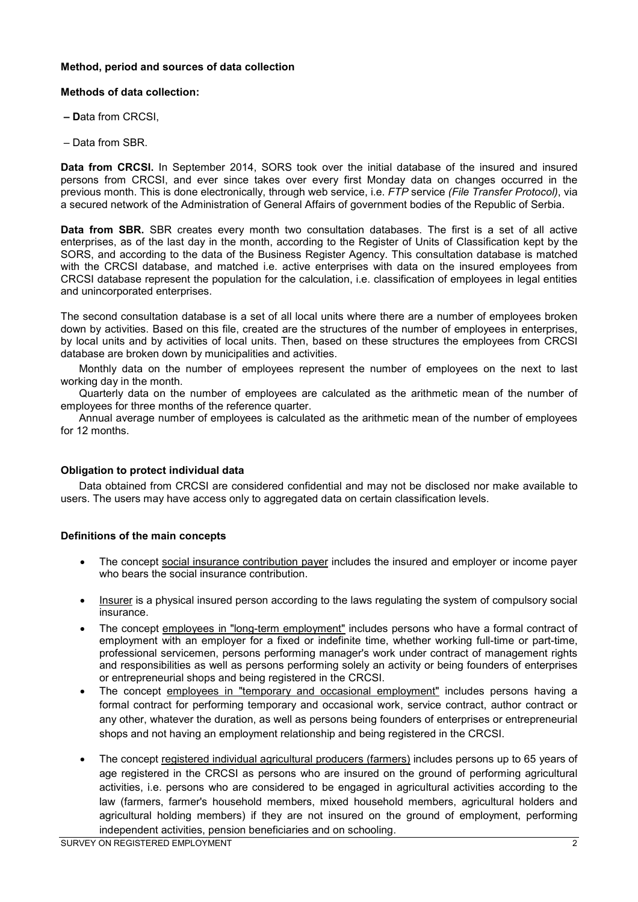# Меthod, period and sources of data collection

## Меthods of data collection:

- ‒ Data from CRCSI,
- ‒ Data from SBR.

Data from CRCSI. In September 2014, SORS took over the initial database of the insured and insured persons from CRCSI, and ever since takes over every first Monday data on changes occurred in the previous month. This is done electronically, through web service, i.e. FTP service (File Transfer Protocol), via a secured network of the Administration of General Affairs of government bodies of the Republic of Serbia.

Data from SBR. SBR creates every month two consultation databases. The first is a set of all active enterprises, as of the last day in the month, according to the Register of Units of Classification kept by the SORS, and according to the data of the Business Register Agency. This consultation database is matched with the CRCSI database, and matched i.e. active enterprises with data on the insured employees from CRCSI database represent the population for the calculation, i.e. classification of employees in legal entities and unincorporated enterprises.

The second consultation database is a set of all local units where there are a number of employees broken down by activities. Based on this file, created are the structures of the number of employees in enterprises, by local units and by activities of local units. Then, based on these structures the employees from CRCSI database are broken down by municipalities and activities.

Monthly data on the number of employees represent the number of employees on the next to last working day in the month.

Quarterly data on the number of employees are calculated as the arithmetic mean of the number of employees for three months of the reference quarter.

Annual average number of employees is calculated as the arithmetic mean of the number of employees for 12 months.

## Obligation to protect individual data

Data obtained from CRCSI are considered confidential and may not be disclosed nor make available to users. The users may have access only to aggregated data on certain classification levels.

## Definitions of the main concepts

- The concept social insurance contribution payer includes the insured and employer or income payer who bears the social insurance contribution.
- Insurer is a physical insured person according to the laws regulating the system of compulsory social insurance.
- The concept employees in "long-term employment" includes persons who have a formal contract of employment with an employer for a fixed or indefinite time, whether working full-time or part-time, professional servicemen, persons performing manager's work under contract of management rights and responsibilities as well as persons performing solely an activity or being founders of enterprises or entrepreneurial shops and being registered in the CRCSI.
- The concept employees in "temporary and occasional employment" includes persons having a formal contract for performing temporary and occasional work, service contract, author contract or any other, whatever the duration, as well as persons being founders of enterprises or entrepreneurial shops and not having an employment relationship and being registered in the CRCSI.
- The concept registered individual agricultural producers (farmers) includes persons up to 65 years of age registered in the CRCSI as persons who are insured on the ground of performing agricultural activities, i.e. persons who are considered to be engaged in agricultural activities according to the law (farmers, farmer's household members, mixed household members, agricultural holders and agricultural holding members) if they are not insured on the ground of employment, performing independent activities, pension beneficiaries and on schooling.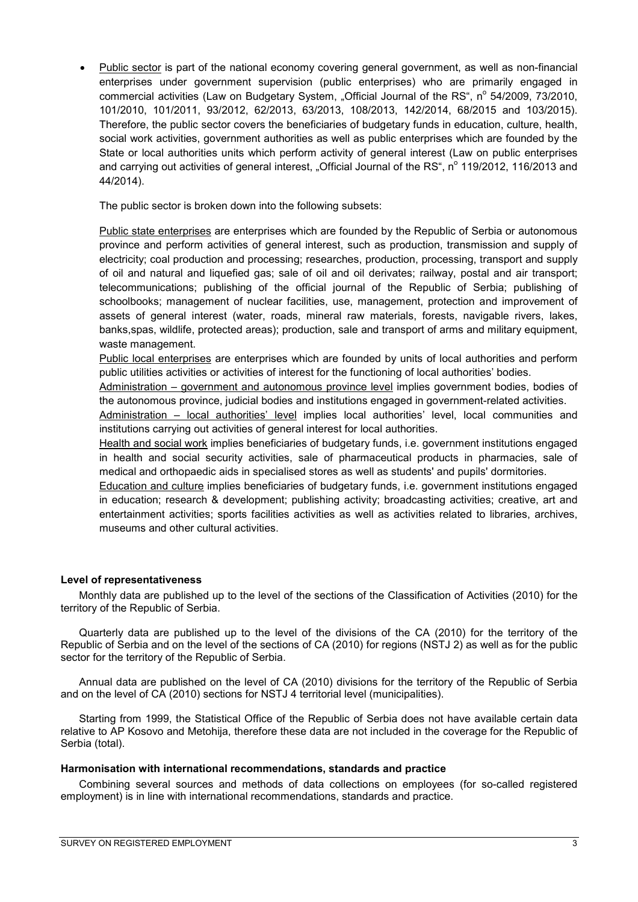• Public sector is part of the national economy covering general government, as well as non-financial enterprises under government supervision (public enterprises) who are primarily engaged in commercial activities (Law on Budgetary System, "Official Journal of the RS", n<sup>o</sup> 54/2009, 73/2010, 101/2010, 101/2011, 93/2012, 62/2013, 63/2013, 108/2013, 142/2014, 68/2015 and 103/2015). Therefore, the public sector covers the beneficiaries of budgetary funds in education, culture, health, social work activities, government authorities as well as public enterprises which are founded by the State or local authorities units which perform activity of general interest (Law on public enterprises and carrying out activities of general interest, "Official Journal of the RS", n<sup>o</sup> 119/2012, 116/2013 and 44/2014).

The public sector is broken down into the following subsets:

Public state enterprises are enterprises which are founded by the Republic of Serbia or autonomous province and perform activities of general interest, such as production, transmission and supply of electricity; coal production and processing; researches, production, processing, transport and supply of oil and natural and liquefied gas; sale of oil and oil derivates; railway, postal and air transport; telecommunications; publishing of the official journal of the Republic of Serbia; publishing of schoolbooks; management of nuclear facilities, use, management, protection and improvement of assets of general interest (water, roads, mineral raw materials, forests, navigable rivers, lakes, banks,spas, wildlife, protected areas); production, sale and transport of arms and military equipment, waste management.

Public local enterprises are enterprises which are founded by units of local authorities and perform public utilities activities or activities of interest for the functioning of local authorities' bodies.

Administration – government and autonomous province level implies government bodies, bodies of the autonomous province, judicial bodies and institutions engaged in government-related activities.

Administration – local authorities' level implies local authorities' level, local communities and institutions carrying out activities of general interest for local authorities.

Health and social work implies beneficiaries of budgetary funds, i.e. government institutions engaged in health and social security activities, sale of pharmaceutical products in pharmacies, sale of medical and orthopaedic aids in specialised stores as well as students' and pupils' dormitories.

Education and culture implies beneficiaries of budgetary funds, i.e. government institutions engaged in education; research & development; publishing activity; broadcasting activities; creative, art and entertainment activities; sports facilities activities as well as activities related to libraries, archives, museums and other cultural activities.

## Level of representativeness

Monthly data are published up to the level of the sections of the Classification of Activities (2010) for the territory of the Republic of Serbia.

Quarterly data are published up to the level of the divisions of the CA (2010) for the territory of the Republic of Serbia and on the level of the sections of CA (2010) for regions (NSTJ 2) as well as for the public sector for the territory of the Republic of Serbia.

Annual data are published on the level of CA (2010) divisions for the territory of the Republic of Serbia and on the level of CA (2010) sections for NSTJ 4 territorial level (municipalities).

Starting from 1999, the Statistical Office of the Republic of Serbia does not have available certain data relative to AP Kosovo and Metohija, therefore these data are not included in the coverage for the Republic of Serbia (total).

#### Harmonisation with international recommendations, standards and practice

Combining several sources and methods of data collections on employees (for so-called registered employment) is in line with international recommendations, standards and practice.